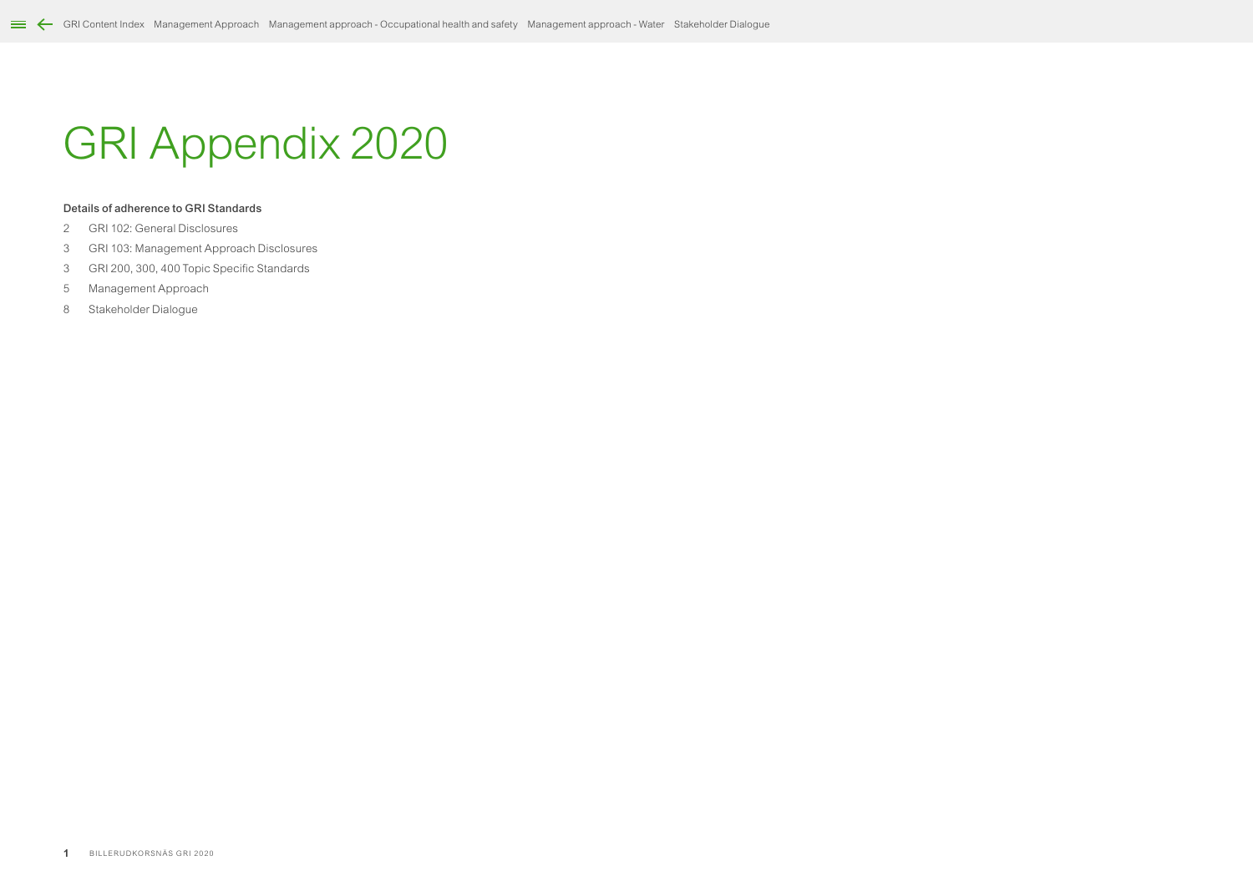# GRI Appendix 2020

# Details of adherence to GRI Standards

- GRI 102: General Disclosures
- GRI 103: Management Approach Disclosures
- GRI 200, 300, 400 Topic Specific Standards
- Management Approach
- Stakeholder Dialogue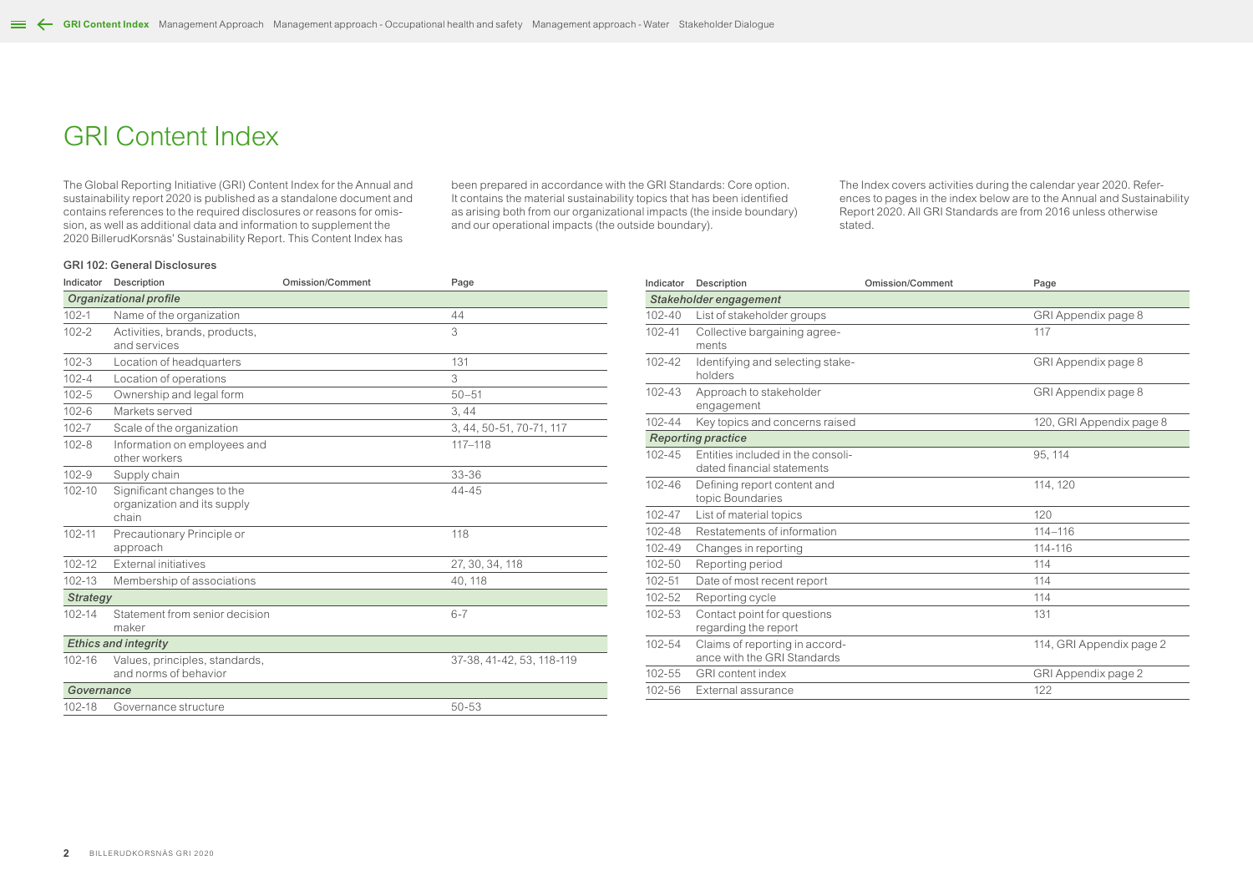# <span id="page-1-0"></span>GRI Content Index

The Global Reporting Initiative (GRI) Content Index for the Annual and sustainability report 2020 is published as a standalone document and contains references to the required disclosures or reasons for omission, as well as additional data and information to supplement the 2020 BillerudKorsnäs' Sustainability Report. This Content Index has

been prepared in accordance with the GRI Standards: Core option. It contains the material sustainability topics that has been identified as arising both from our organizational impacts (the inside boundary) and our operational impacts (the outside boundary).

The Index covers activities during the calendar year 2020. References to pages in the index below are to the Annual and Sustainability Report 2020. All GRI Standards are from 2016 unless otherwise stated.

### GRI 102: General Disclosures

| Indicator       | Description                                                        | <b>Omission/Comment</b> | Page                      |
|-----------------|--------------------------------------------------------------------|-------------------------|---------------------------|
|                 | Organizational profile                                             |                         |                           |
| $102 - 1$       | Name of the organization                                           |                         | 44                        |
| $102 - 2$       | Activities, brands, products,<br>and services                      |                         | 3                         |
| $102 - 3$       | Location of headquarters                                           |                         | 131                       |
| $102 - 4$       | Location of operations                                             |                         | 3                         |
| $102 - 5$       | Ownership and legal form                                           |                         | $50 - 51$                 |
| $102 - 6$       | Markets served                                                     |                         | 3,44                      |
| $102 - 7$       | Scale of the organization                                          |                         | 3, 44, 50-51, 70-71, 117  |
| $102 - 8$       | Information on employees and<br>other workers                      |                         | $117 - 118$               |
| $102 - 9$       | Supply chain                                                       |                         | 33-36                     |
| $102 - 10$      | Significant changes to the<br>organization and its supply<br>chain |                         | $44 - 45$                 |
| $102 - 11$      | Precautionary Principle or<br>approach                             |                         | 118                       |
| $102 - 12$      | External initiatives                                               |                         | 27, 30, 34, 118           |
| 102-13          | Membership of associations                                         |                         | 40, 118                   |
| <b>Strategy</b> |                                                                    |                         |                           |
| $102 - 14$      | Statement from senior decision<br>maker                            |                         | $6 - 7$                   |
|                 | <b>Ethics and integrity</b>                                        |                         |                           |
| 102-16          | Values, principles, standards,<br>and norms of behavior            |                         | 37-38, 41-42, 53, 118-119 |
| Governance      |                                                                    |                         |                           |
| 102-18          | Governance structure                                               |                         | $50 - 53$                 |

| Indicator  | Description                                                     | <b>Omission/Comment</b> | Page                     |
|------------|-----------------------------------------------------------------|-------------------------|--------------------------|
|            | Stakeholder engagement                                          |                         |                          |
| $102 - 40$ | List of stakeholder groups                                      |                         | GRI Appendix page 8      |
| $102 - 41$ | Collective bargaining agree-<br>ments                           |                         | 117                      |
| 102-42     | Identifying and selecting stake-<br>holders                     |                         | GRI Appendix page 8      |
| 102-43     | Approach to stakeholder<br>engagement                           |                         | GRI Appendix page 8      |
| $102 - 44$ | Key topics and concerns raised                                  |                         | 120, GRI Appendix page 8 |
|            | <b>Reporting practice</b>                                       |                         |                          |
| $102 - 45$ | Entities included in the consoli-<br>dated financial statements |                         | 95, 114                  |
| 102-46     | Defining report content and<br>topic Boundaries                 |                         | 114, 120                 |
| 102-47     | List of material topics                                         |                         | 120                      |
| 102-48     | Restatements of information                                     |                         | $114 - 116$              |
| 102-49     | Changes in reporting                                            |                         | 114-116                  |
| 102-50     | Reporting period                                                |                         | 114                      |
| 102-51     | Date of most recent report                                      |                         | 114                      |
| 102-52     | Reporting cycle                                                 |                         | 114                      |
| $102 - 53$ | Contact point for questions<br>regarding the report             |                         | 131                      |
| 102-54     | Claims of reporting in accord-<br>ance with the GRI Standards   |                         | 114, GRI Appendix page 2 |
| 102-55     | <b>GRI</b> content index                                        |                         | GRI Appendix page 2      |
| 102-56     | External assurance                                              |                         | 122                      |
|            |                                                                 |                         |                          |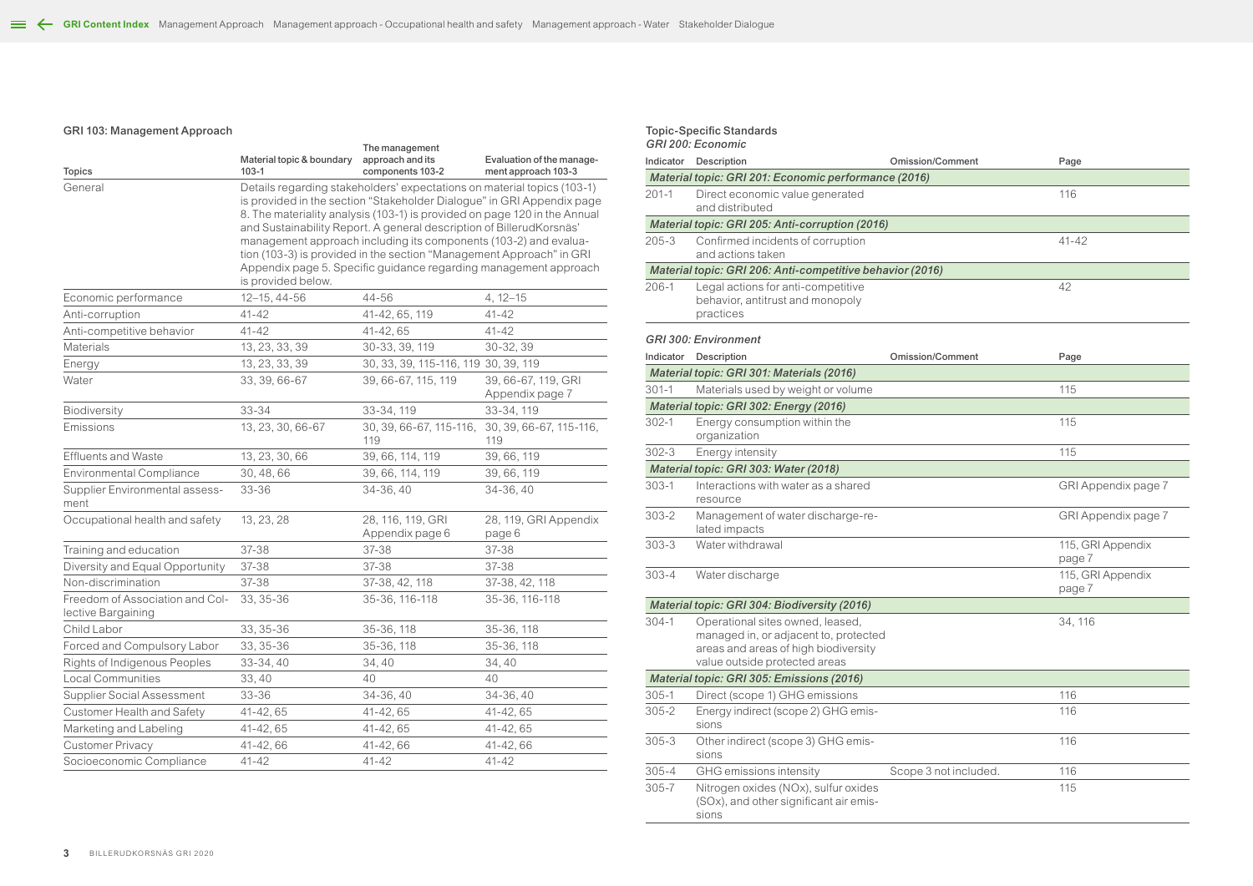# GRI 103: Management Approach

|                                                       | Material topic & boundary | The management<br>approach and its                                                                                                                                                                                                                                                                                                                                                                                                                                                                                     | Evaluation of the manage-              |
|-------------------------------------------------------|---------------------------|------------------------------------------------------------------------------------------------------------------------------------------------------------------------------------------------------------------------------------------------------------------------------------------------------------------------------------------------------------------------------------------------------------------------------------------------------------------------------------------------------------------------|----------------------------------------|
| <b>Topics</b>                                         | $103 - 1$                 | components 103-2                                                                                                                                                                                                                                                                                                                                                                                                                                                                                                       | ment approach 103-3                    |
| General                                               | is provided below.        | Details regarding stakeholders' expectations on material topics (103-1)<br>is provided in the section "Stakeholder Dialogue" in GRI Appendix page<br>8. The materiality analysis (103-1) is provided on page 120 in the Annual<br>and Sustainability Report. A general description of BillerudKorsnäs'<br>management approach including its components (103-2) and evalua-<br>tion (103-3) is provided in the section "Management Approach" in GRI<br>Appendix page 5. Specific guidance regarding management approach |                                        |
| Economic performance                                  | 12-15, 44-56              | 44-56                                                                                                                                                                                                                                                                                                                                                                                                                                                                                                                  | $4, 12 - 15$                           |
| Anti-corruption                                       | $41 - 42$                 | 41-42, 65, 119                                                                                                                                                                                                                                                                                                                                                                                                                                                                                                         | $41 - 42$                              |
| Anti-competitive behavior                             | $41 - 42$                 | 41-42, 65                                                                                                                                                                                                                                                                                                                                                                                                                                                                                                              | $41 - 42$                              |
| <b>Materials</b>                                      | 13, 23, 33, 39            | 30-33, 39, 119                                                                                                                                                                                                                                                                                                                                                                                                                                                                                                         | 30-32, 39                              |
| Energy                                                | 13, 23, 33, 39            | 30, 33, 39, 115-116, 119 30, 39, 119                                                                                                                                                                                                                                                                                                                                                                                                                                                                                   |                                        |
| Water                                                 | 33, 39, 66-67             | 39, 66-67, 115, 119                                                                                                                                                                                                                                                                                                                                                                                                                                                                                                    | 39, 66-67, 119, GRI<br>Appendix page 7 |
| Biodiversity                                          | 33-34                     | 33-34, 119                                                                                                                                                                                                                                                                                                                                                                                                                                                                                                             | 33-34, 119                             |
| Emissions                                             | 13, 23, 30, 66-67         | 30, 39, 66-67, 115-116,<br>119                                                                                                                                                                                                                                                                                                                                                                                                                                                                                         | 30, 39, 66-67, 115-116,<br>119         |
| <b>Effluents and Waste</b>                            | 13, 23, 30, 66            | 39, 66, 114, 119                                                                                                                                                                                                                                                                                                                                                                                                                                                                                                       | 39, 66, 119                            |
| <b>Environmental Compliance</b>                       | 30, 48, 66                | 39, 66, 114, 119                                                                                                                                                                                                                                                                                                                                                                                                                                                                                                       | 39, 66, 119                            |
| Supplier Environmental assess-<br>ment                | 33-36                     | 34-36, 40                                                                                                                                                                                                                                                                                                                                                                                                                                                                                                              | 34-36, 40                              |
| Occupational health and safety                        | 13, 23, 28                | 28, 116, 119, GRI<br>Appendix page 6                                                                                                                                                                                                                                                                                                                                                                                                                                                                                   | 28, 119, GRI Appendix<br>page 6        |
| Training and education                                | 37-38                     | 37-38                                                                                                                                                                                                                                                                                                                                                                                                                                                                                                                  | 37-38                                  |
| Diversity and Equal Opportunity                       | 37-38                     | 37-38                                                                                                                                                                                                                                                                                                                                                                                                                                                                                                                  | 37-38                                  |
| Non-discrimination                                    | 37-38                     | 37-38, 42, 118                                                                                                                                                                                                                                                                                                                                                                                                                                                                                                         | 37-38, 42, 118                         |
| Freedom of Association and Col-<br>lective Bargaining | 33, 35-36                 | 35-36, 116-118                                                                                                                                                                                                                                                                                                                                                                                                                                                                                                         | 35-36, 116-118                         |
| Child Labor                                           | 33, 35-36                 | 35-36, 118                                                                                                                                                                                                                                                                                                                                                                                                                                                                                                             | 35-36, 118                             |
| Forced and Compulsory Labor                           | 33, 35-36                 | 35-36, 118                                                                                                                                                                                                                                                                                                                                                                                                                                                                                                             | 35-36, 118                             |
| Rights of Indigenous Peoples                          | 33-34, 40                 | 34,40                                                                                                                                                                                                                                                                                                                                                                                                                                                                                                                  | 34,40                                  |
| <b>Local Communities</b>                              | 33,40                     | 40                                                                                                                                                                                                                                                                                                                                                                                                                                                                                                                     | 40                                     |
| <b>Supplier Social Assessment</b>                     | 33-36                     | 34-36, 40                                                                                                                                                                                                                                                                                                                                                                                                                                                                                                              | 34-36, 40                              |
| Customer Health and Safety                            | 41-42, 65                 | 41-42, 65                                                                                                                                                                                                                                                                                                                                                                                                                                                                                                              | 41-42, 65                              |
| Marketing and Labeling                                | 41-42, 65                 | 41-42, 65                                                                                                                                                                                                                                                                                                                                                                                                                                                                                                              | 41-42, 65                              |
| Customer Privacy                                      | 41-42, 66                 | 41-42,66                                                                                                                                                                                                                                                                                                                                                                                                                                                                                                               | 41-42,66                               |
| Socioeconomic Compliance                              | 41-42                     | $41 - 42$                                                                                                                                                                                                                                                                                                                                                                                                                                                                                                              | $41 - 42$                              |

|           | <b>Topic-Specific Standards</b><br>GRI 200: Economic                                                                                               |                         |                             |
|-----------|----------------------------------------------------------------------------------------------------------------------------------------------------|-------------------------|-----------------------------|
| Indicator | Description                                                                                                                                        | <b>Omission/Comment</b> | Page                        |
|           | Material topic: GRI 201: Economic performance (2016)                                                                                               |                         |                             |
| $201 - 1$ | Direct economic value generated<br>and distributed                                                                                                 |                         | 116                         |
|           | Material topic: GRI 205: Anti-corruption (2016)                                                                                                    |                         |                             |
| $205 - 3$ | Confirmed incidents of corruption<br>and actions taken                                                                                             |                         | $41 - 42$                   |
|           | Material topic: GRI 206: Anti-competitive behavior (2016)                                                                                          |                         |                             |
| $206-1$   | Legal actions for anti-competitive<br>behavior, antitrust and monopoly<br>practices                                                                |                         | 42                          |
|           | <b>GRI 300: Environment</b>                                                                                                                        |                         |                             |
| Indicator | Description                                                                                                                                        | <b>Omission/Comment</b> | Page                        |
|           | Material topic: GRI 301: Materials (2016)                                                                                                          |                         |                             |
| $301 - 1$ | Materials used by weight or volume                                                                                                                 |                         | 115                         |
|           | Material topic: GRI 302: Energy (2016)                                                                                                             |                         |                             |
| $302 - 1$ | Energy consumption within the<br>organization                                                                                                      |                         | 115                         |
| $302 - 3$ | Energy intensity                                                                                                                                   |                         | 115                         |
|           | Material topic: GRI 303: Water (2018)                                                                                                              |                         |                             |
| $303 - 1$ | Interactions with water as a shared<br>resource                                                                                                    |                         | GRI Appendix page 7         |
| $303 - 2$ | Management of water discharge-re-<br>lated impacts                                                                                                 |                         | GRI Appendix page 7         |
| $303 - 3$ | Water withdrawal                                                                                                                                   |                         | 115, GRI Appendix<br>page 7 |
| $303 - 4$ | Water discharge                                                                                                                                    |                         | 115, GRI Appendix<br>page 7 |
|           | Material topic: GRI 304: Biodiversity (2016)                                                                                                       |                         |                             |
| $304 - 1$ | Operational sites owned, leased,<br>managed in, or adjacent to, protected<br>areas and areas of high biodiversity<br>value outside protected areas |                         | 34, 116                     |
|           | Material topic: GRI 305: Emissions (2016)                                                                                                          |                         |                             |
| $305 - 1$ | Direct (scope 1) GHG emissions                                                                                                                     |                         | 116                         |
| $305 - 2$ | Energy indirect (scope 2) GHG emis-<br>sions                                                                                                       |                         | 116                         |
| $305 - 3$ | Other indirect (scope 3) GHG emis-<br>sions                                                                                                        |                         | 116                         |
| $305 - 4$ | GHG emissions intensity                                                                                                                            | Scope 3 not included.   | 116                         |
| $305 - 7$ | Nitrogen oxides (NOx), sulfur oxides<br>(SOx), and other significant air emis-<br>sions                                                            |                         | 115                         |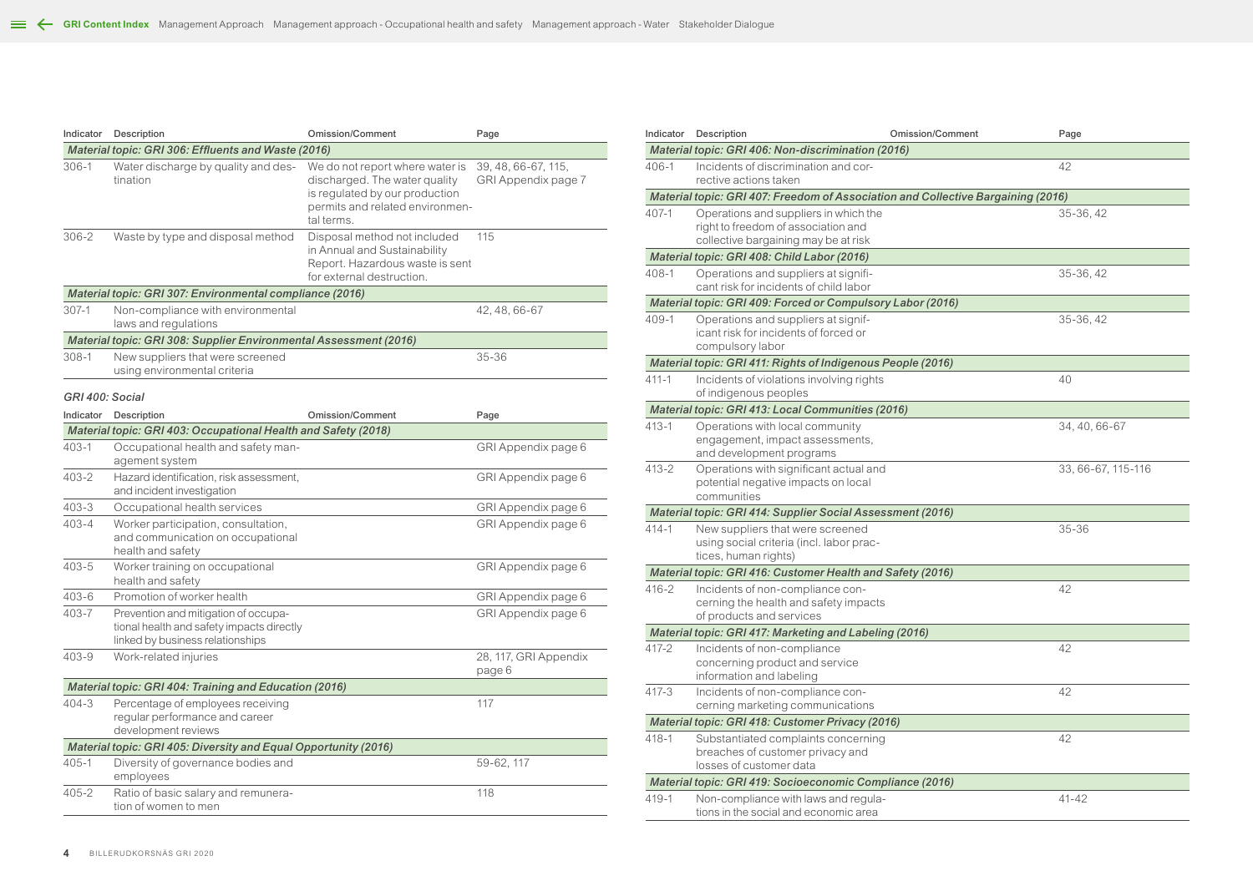| Indicator       | Description                                                                                                           | <b>Omission/Comment</b>                                                                                                                             | Page                                       |
|-----------------|-----------------------------------------------------------------------------------------------------------------------|-----------------------------------------------------------------------------------------------------------------------------------------------------|--------------------------------------------|
|                 | Material topic: GRI 306: Effluents and Waste (2016)                                                                   |                                                                                                                                                     |                                            |
| $306 - 1$       | Water discharge by quality and des-<br>tination                                                                       | We do not report where water is<br>discharged. The water quality<br>is regulated by our production<br>permits and related environmen-<br>tal terms. | 39, 48, 66-67, 115,<br>GRI Appendix page 7 |
| $306 - 2$       | Waste by type and disposal method                                                                                     | Disposal method not included<br>in Annual and Sustainability<br>Report. Hazardous waste is sent<br>for external destruction.                        | 115                                        |
|                 | Material topic: GRI 307: Environmental compliance (2016)                                                              |                                                                                                                                                     |                                            |
| $307-1$         | Non-compliance with environmental<br>laws and regulations                                                             |                                                                                                                                                     | 42, 48, 66-67                              |
|                 | Material topic: GRI 308: Supplier Environmental Assessment (2016)                                                     |                                                                                                                                                     |                                            |
| $308-1$         | New suppliers that were screened<br>using environmental criteria                                                      |                                                                                                                                                     | 35-36                                      |
| GRI 400: Social |                                                                                                                       |                                                                                                                                                     |                                            |
| Indicator       | Description                                                                                                           | <b>Omission/Comment</b>                                                                                                                             | Page                                       |
|                 | Material topic: GRI 403: Occupational Health and Safety (2018)                                                        |                                                                                                                                                     |                                            |
| $403 - 1$       | Occupational health and safety man-<br>agement system                                                                 |                                                                                                                                                     | GRI Appendix page 6                        |
| $403 - 2$       | Hazard identification, risk assessment,<br>and incident investigation                                                 |                                                                                                                                                     | GRI Appendix page 6                        |
| $403 - 3$       | Occupational health services                                                                                          |                                                                                                                                                     | GRI Appendix page 6                        |
| $403 - 4$       | Worker participation, consultation,<br>and communication on occupational<br>health and safety                         |                                                                                                                                                     | GRI Appendix page 6                        |
| $403 - 5$       | Worker training on occupational<br>health and safety                                                                  |                                                                                                                                                     | GRI Appendix page 6                        |
| $403 - 6$       | Promotion of worker health                                                                                            |                                                                                                                                                     | GRI Appendix page 6                        |
| 403-7           | Prevention and mitigation of occupa-<br>tional health and safety impacts directly<br>linked by business relationships |                                                                                                                                                     | GRI Appendix page 6                        |
| $403 - 9$       | Work-related injuries                                                                                                 |                                                                                                                                                     | 28, 117, GRI Appendix<br>page 6            |
|                 | Material topic: GRI 404: Training and Education (2016)                                                                |                                                                                                                                                     |                                            |
| $404 - 3$       | Percentage of employees receiving<br>reqular performance and career<br>development reviews                            |                                                                                                                                                     | 117                                        |
|                 | Material topic: GRI 405: Diversity and Equal Opportunity (2016)                                                       |                                                                                                                                                     |                                            |
| $405 - 1$       | Diversity of governance bodies and<br>employees                                                                       |                                                                                                                                                     | 59-62, 117                                 |
| $405 - 2$       | Ratio of basic salary and remunera-<br>tion of women to men                                                           |                                                                                                                                                     | 118                                        |

| Indicator | Description                                                                                                          | <b>Omission/Comment</b> | Page               |
|-----------|----------------------------------------------------------------------------------------------------------------------|-------------------------|--------------------|
|           | Material topic: GRI 406: Non-discrimination (2016)                                                                   |                         |                    |
| $406 - 1$ | Incidents of discrimination and cor-<br>rective actions taken                                                        |                         | 42                 |
|           | Material topic: GRI 407: Freedom of Association and Collective Bargaining (2016)                                     |                         |                    |
| 407-1     | Operations and suppliers in which the<br>right to freedom of association and<br>collective bargaining may be at risk |                         | 35-36, 42          |
|           | Material topic: GRI 408: Child Labor (2016)                                                                          |                         |                    |
| $408 - 1$ | Operations and suppliers at signifi-<br>cant risk for incidents of child labor                                       |                         | 35-36, 42          |
|           | Material topic: GRI 409: Forced or Compulsory Labor (2016)                                                           |                         |                    |
| $409 - 1$ | Operations and suppliers at signif-<br>icant risk for incidents of forced or<br>compulsory labor                     |                         | 35-36, 42          |
|           | Material topic: GRI 411: Rights of Indigenous People (2016)                                                          |                         |                    |
| $411 - 1$ | Incidents of violations involving rights<br>of indigenous peoples                                                    |                         | 40                 |
|           | Material topic: GRI 413: Local Communities (2016)                                                                    |                         |                    |
| $413 - 1$ | Operations with local community<br>engagement, impact assessments,<br>and development programs                       |                         | 34, 40, 66-67      |
| $413 - 2$ | Operations with significant actual and<br>potential negative impacts on local<br>communities                         |                         | 33, 66-67, 115-116 |
|           | Material topic: GRI 414: Supplier Social Assessment (2016)                                                           |                         |                    |
| $414 - 1$ | New suppliers that were screened<br>using social criteria (incl. labor prac-<br>tices, human rights)                 |                         | $35 - 36$          |
|           | Material topic: GRI 416: Customer Health and Safety (2016)                                                           |                         |                    |
| $416 - 2$ | Incidents of non-compliance con-<br>cerning the health and safety impacts<br>of products and services                |                         | 42                 |
|           | Material topic: GRI 417: Marketing and Labeling (2016)                                                               |                         |                    |
| 417-2     | Incidents of non-compliance<br>concerning product and service<br>information and labeling                            |                         | 42                 |
| $417 - 3$ | Incidents of non-compliance con-<br>cerning marketing communications                                                 |                         | 42                 |
|           | Material topic: GRI 418: Customer Privacy (2016)                                                                     |                         |                    |
| $418 - 1$ | Substantiated complaints concerning<br>breaches of customer privacy and<br>losses of customer data                   |                         | 42                 |
|           | Material topic: GRI 419: Socioeconomic Compliance (2016)                                                             |                         |                    |
| $419 - 1$ | Non-compliance with laws and regula-<br>tions in the social and economic area                                        |                         | $41 - 42$          |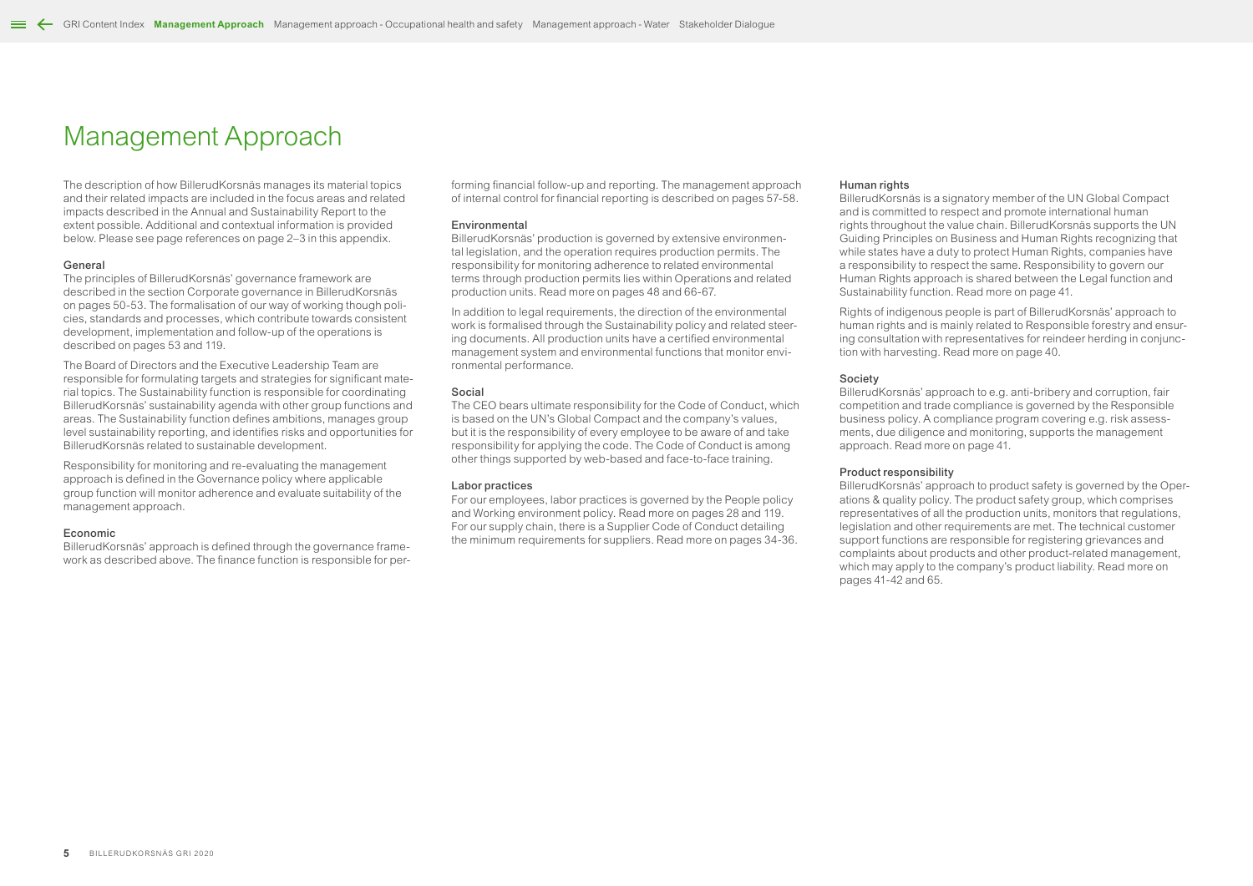# <span id="page-4-0"></span>Management Approach

The description of how BillerudKorsnäs manages its material topics and their related impacts are included in the focus areas and related impacts described in the Annual and Sustainability Report to the extent possible. Additional and contextual information is provided below. Please see page references on page 2–3 in this appendix.

#### General

The principles of BillerudKorsnäs' governance framework are described in the section Corporate governance in BillerudKorsnäs on pages 50-53. The formalisation of our way of working though policies, standards and processes, which contribute towards consistent development, implementation and follow-up of the operations is described on pages 53 and 119.

The Board of Directors and the Executive Leadership Team are responsible for formulating targets and strategies for significant material topics. The Sustainability function is responsible for coordinating BillerudKorsnäs' sustainability agenda with other group functions and areas. The Sustainability function defines ambitions, manages group level sustainability reporting, and identifies risks and opportunities for BillerudKorsnäs related to sustainable development.

Responsibility for monitoring and re-evaluating the management approach is defined in the Governance policy where applicable group function will monitor adherence and evaluate suitability of the management approach.

#### Economic

BillerudKorsnäs' approach is defined through the governance framework as described above. The finance function is responsible for performing financial follow-up and reporting. The management approach of internal control for financial reporting is described on pages 57-58.

### Environmental

BillerudKorsnäs' production is governed by extensive environmental legislation, and the operation requires production permits. The responsibility for monitoring adherence to related environmental terms through production permits lies within Operations and related production units. Read more on pages 48 and 66-67.

In addition to legal requirements, the direction of the environmental work is formalised through the Sustainability policy and related steering documents. All production units have a certified environmental management system and environmental functions that monitor environmental performance.

#### Social

The CEO bears ultimate responsibility for the Code of Conduct, which is based on the UN's Global Compact and the company's values but it is the responsibility of every employee to be aware of and take responsibility for applying the code. The Code of Conduct is among other things supported by web-based and face-to-face training.

### Labor practices

For our employees, labor practices is governed by the People policy and Working environment policy. Read more on pages 28 and 119. For our supply chain, there is a Supplier Code of Conduct detailing the minimum requirements for suppliers. Read more on pages 34-36.

### Human rights

BillerudKorsnäs is a signatory member of the UN Global Compact and is committed to respect and promote international human rights throughout the value chain. BillerudKorsnäs supports the UN Guiding Principles on Business and Human Rights recognizing that while states have a duty to protect Human Rights, companies have a responsibility to respect the same. Responsibility to govern our Human Rights approach is shared between the Legal function and Sustainability function. Read more on page 41.

Rights of indigenous people is part of BillerudKorsnäs' approach to human rights and is mainly related to Responsible forestry and ensuring consultation with representatives for reindeer herding in conjunction with harvesting. Read more on page 40.

### Society

BillerudKorsnäs' approach to e.g. anti-bribery and corruption, fair competition and trade compliance is governed by the Responsible business policy. A compliance program covering e.g. risk assessments, due diligence and monitoring, supports the management approach. Read more on page 41.

### Product responsibility

BillerudKorsnäs' approach to product safety is governed by the Operations & quality policy. The product safety group, which comprises representatives of all the production units, monitors that regulations, legislation and other requirements are met. The technical customer support functions are responsible for registering grievances and complaints about products and other product-related management, which may apply to the company's product liability. Read more on pages 41-42 and 65.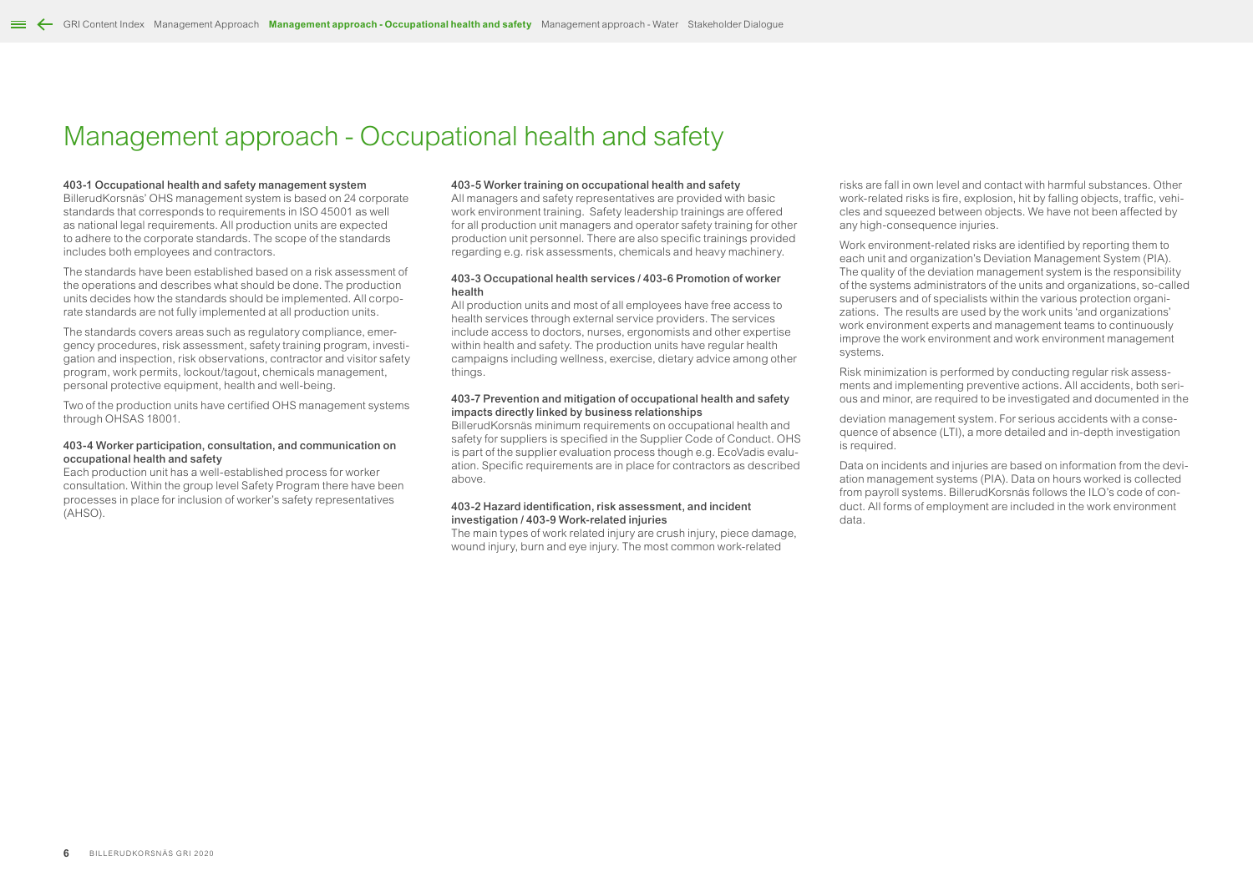# <span id="page-5-0"></span>Management approach - Occupational health and safety

### 403-1 Occupational health and safety management system

BillerudKorsnäs' OHS management system is based on 24 corporate standards that corresponds to requirements in ISO 45001 as well as national legal requirements. All production units are expected to adhere to the corporate standards. The scope of the standards includes both employees and contractors.

The standards have been established based on a risk assessment of the operations and describes what should be done. The production units decides how the standards should be implemented. All corporate standards are not fully implemented at all production units.

The standards covers areas such as regulatory compliance, emergency procedures, risk assessment, safety training program, investigation and inspection, risk observations, contractor and visitor safety program, work permits, lockout/tagout, chemicals management, personal protective equipment, health and well-being.

Two of the production units have certified OHS management systems through OHSAS 18001.

### 403-4 Worker participation, consultation, and communication on occupational health and safety

Each production unit has a well-established process for worker consultation. Within the group level Safety Program there have been processes in place for inclusion of worker's safety representatives (AHSO).

### 403-5 Worker training on occupational health and safety

All managers and safety representatives are provided with basic work environment training. Safety leadership trainings are offered for all production unit managers and operator safety training for other production unit personnel. There are also specific trainings provided regarding e.g. risk assessments, chemicals and heavy machinery.

# 403-3 Occupational health services / 403-6 Promotion of worker health

All production units and most of all employees have free access to health services through external service providers. The services include access to doctors, nurses, ergonomists and other expertise within health and safety. The production units have regular health campaigns including wellness, exercise, dietary advice among other things.

# 403-7 Prevention and mitigation of occupational health and safety impacts directly linked by business relationships

BillerudKorsnäs minimum requirements on occupational health and safety for suppliers is specified in the Supplier Code of Conduct. OHS is part of the supplier evaluation process though e.g. EcoVadis evaluation. Specific requirements are in place for contractors as described above.

### 403-2 Hazard identification, risk assessment, and incident investigation / 403-9 Work-related injuries

The main types of work related injury are crush injury, piece damage, wound injury, burn and eye injury. The most common work-related

risks are fall in own level and contact with harmful substances. Other work-related risks is fire, explosion, hit by falling objects, traffic, vehicles and squeezed between objects. We have not been affected by any high-consequence injuries.

Work environment-related risks are identified by reporting them to each unit and organization's Deviation Management System (PIA). The quality of the deviation management system is the responsibility of the systems administrators of the units and organizations, so-called superusers and of specialists within the various protection organizations. The results are used by the work units 'and organizations' work environment experts and management teams to continuously improve the work environment and work environment management systems.

Risk minimization is performed by conducting regular risk assessments and implementing preventive actions. All accidents, both serious and minor, are required to be investigated and documented in the

deviation management system. For serious accidents with a consequence of absence (LTI), a more detailed and in-depth investigation is required.

Data on incidents and injuries are based on information from the deviation management systems (PIA). Data on hours worked is collected from payroll systems. BillerudKorsnäs follows the ILO's code of conduct. All forms of employment are included in the work environment data.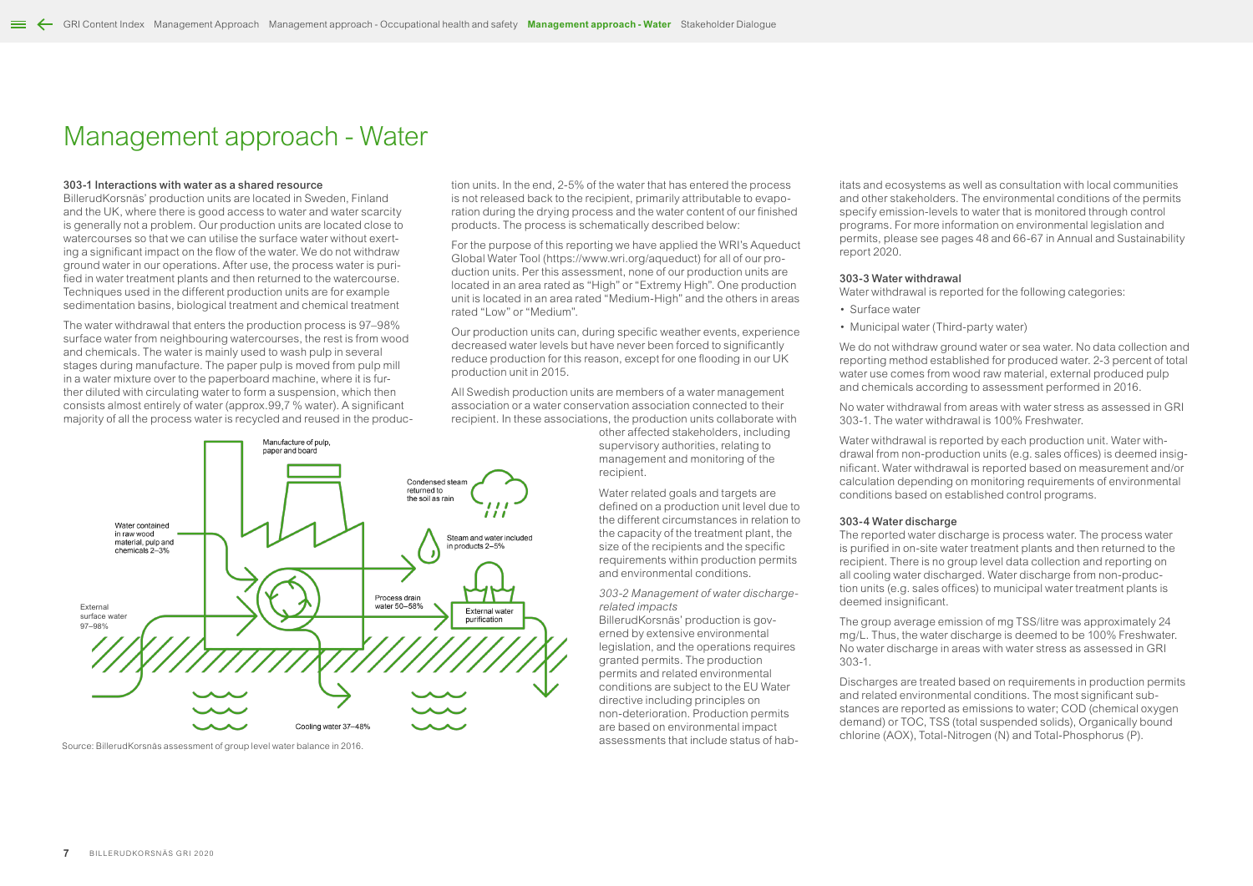# <span id="page-6-0"></span>Management approach - Water

### 303-1 Interactions with water as a shared resource

BillerudKorsnäs' production units are located in Sweden, Finland and the UK, where there is good access to water and water scarcity is generally not a problem. Our production units are located close to watercourses so that we can utilise the surface water without exerting a significant impact on the flow of the water. We do not withdraw ground water in our operations. After use, the process water is purified in water treatment plants and then returned to the watercourse. Techniques used in the different production units are for example sedimentation basins, biological treatment and chemical treatment

The water withdrawal that enters the production process is 97–98% surface water from neighbouring watercourses, the rest is from wood and chemicals. The water is mainly used to wash pulp in several stages during manufacture. The paper pulp is moved from pulp mill reduce production for this reason,<br>in a water mixture over to the paperboard machine, where it is fur-production unit in 2015. in a water mixture over to the paperboard machine, where it is further diluted with circulating water to form a suspension, which then consists almost entirely of water (approx.99,7 % water). A significant association association and released back majority of all the process water is recycled and reused in the produc-

tion units. In the end, 2-5% of the water that has entered the process is not released back to the recipient, primarily attributable to evaporation during the drying process and the water content of our finished products. The process is schematically described below:

For the purpose of this reporting we have applied the WRI's Aqueduct Global Water Tool (https://www.wri.org/aqueduct) for all of our production units. Per this assessment, none of our production units are located in an area rated as "High" or "Extremy High". One production unit is located in an area rated "Medium-High" and the others in areas rated "Low" or "Medium".

Our production units can, during specific weather events, experience decreased water levels but have never been forced to significantly reduce production for this reason, except for one flooding in our UK production unit in 2015.

All Swedish production units are members of a water management association or a water conservation association connected to their recipient. In these associations, the production units collaborate with

other affected stakeholders, including supervisory authorities, relating to management and monitoring of the recipient.

Water related goals and targets are defined on a production unit level due to the different circumstances in relation to the capacity of the treatment plant, the size of the recipients and the specific requirements within production permits and environmental conditions.

*303-2 Management of water dischargerelated impacts*

BillerudKorsnäs' production is governed by extensive environmental legislation, and the operations requires granted permits. The production permits and related environmental conditions are subject to the EU Water directive including principles on non-deterioration. Production permits are based on environmental impact assessments that include status of hab-

itats and ecosystems as well as consultation with local communities and other stakeholders. The environmental conditions of the permits specify emission-levels to water that is monitored through control programs. For more information on environmental legislation and permits, please see pages 48 and 66-67 in Annual and Sustainability report 2020.

### 303-3 Water withdrawal

Water withdrawal is reported for the following categories:

- Surface water
- Municipal water (Third-party water)

We do not withdraw ground water or sea water. No data collection and reporting method established for produced water. 2-3 percent of total water use comes from wood raw material, external produced pulp and chemicals according to assessment performed in 2016.

No water withdrawal from areas with water stress as assessed in GRI 303-1. The water withdrawal is 100% Freshwater.

Water withdrawal is reported by each production unit. Water withdrawal from non-production units (e.g. sales offices) is deemed insignificant. Water withdrawal is reported based on measurement and/or calculation depending on monitoring requirements of environmental conditions based on established control programs.

### 303-4 Water discharge

The reported water discharge is process water. The process water is purified in on-site water treatment plants and then returned to the recipient. There is no group level data collection and reporting on all cooling water discharged. Water discharge from non-production units (e.g. sales offices) to municipal water treatment plants is deemed insignificant.

The group average emission of mg TSS/litre was approximately 24 mg/L. Thus, the water discharge is deemed to be 100% Freshwater. No water discharge in areas with water stress as assessed in GRI 303-1.

Discharges are treated based on requirements in production permits and related environmental conditions. The most significant substances are reported as emissions to water: COD (chemical oxygen) demand) or TOC, TSS (total suspended solids), Organically bound chlorine (AOX), Total-Nitrogen (N) and Total-Phosphorus (P).



Source: BillerudKorsnäs assessment of group level water balance in 2016.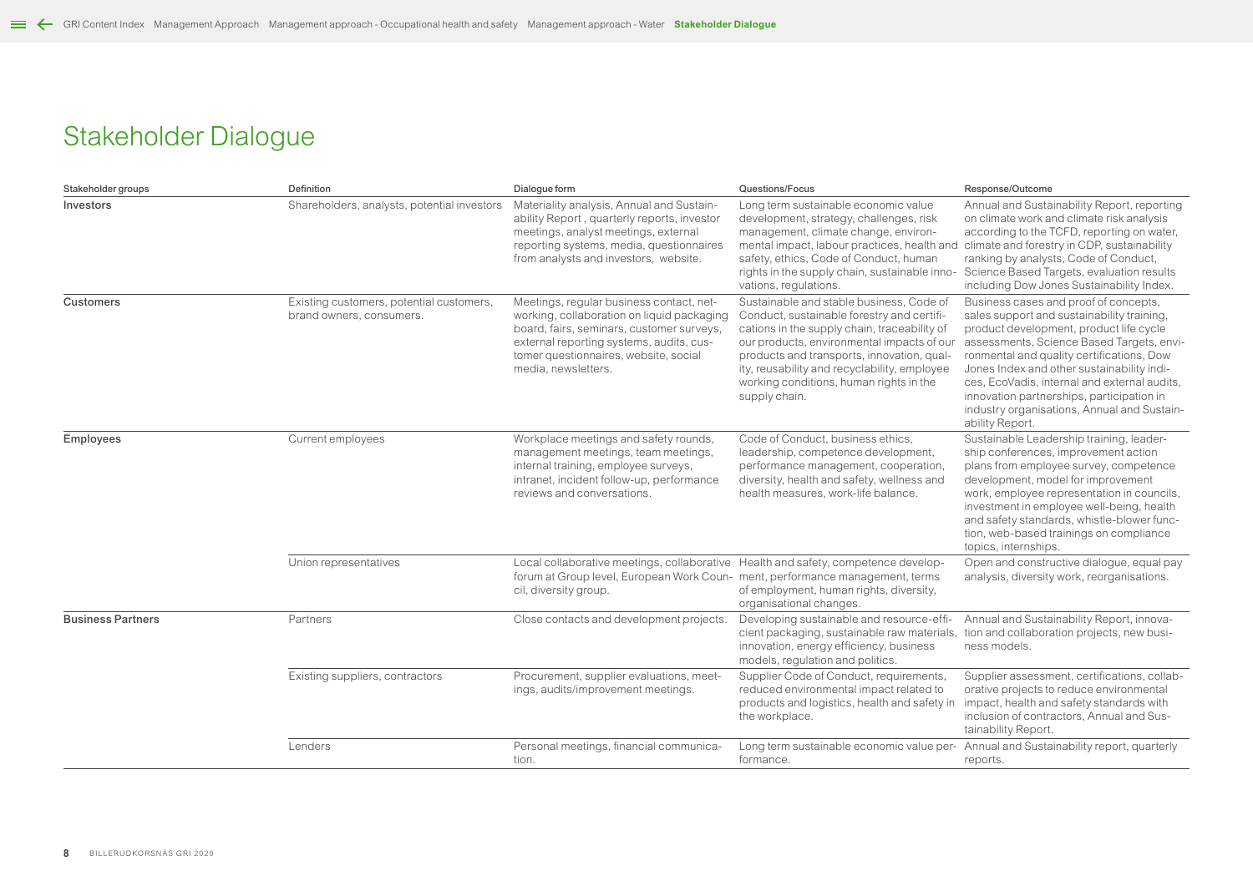# <span id="page-7-0"></span>Stakeholder Dialogue

| Stakeholder groups       | Definition                                                           | Dialogue form                                                                                                                                                                                                                                   | Questions/Focus                                                                                                                                                                                                                                                                                                                                | Response/Outcome                                                                                                                                                                                                                                                                                                                                                                                                                      |
|--------------------------|----------------------------------------------------------------------|-------------------------------------------------------------------------------------------------------------------------------------------------------------------------------------------------------------------------------------------------|------------------------------------------------------------------------------------------------------------------------------------------------------------------------------------------------------------------------------------------------------------------------------------------------------------------------------------------------|---------------------------------------------------------------------------------------------------------------------------------------------------------------------------------------------------------------------------------------------------------------------------------------------------------------------------------------------------------------------------------------------------------------------------------------|
| Investors                | Shareholders, analysts, potential investors                          | Materiality analysis, Annual and Sustain-<br>ability Report, quarterly reports, investor<br>meetings, analyst meetings, external<br>reporting systems, media, questionnaires<br>from analysts and investors, website.                           | Long term sustainable economic value<br>development, strategy, challenges, risk<br>management, climate change, environ-<br>mental impact, labour practices, health and<br>safety, ethics, Code of Conduct, human<br>rights in the supply chain, sustainable inno-<br>vations, regulations.                                                     | Annual and Sustainability Report, reporting<br>on climate work and climate risk analysis<br>according to the TCFD, reporting on water,<br>climate and forestry in CDP, sustainability<br>ranking by analysts, Code of Conduct,<br>Science Based Targets, evaluation results<br>including Dow Jones Sustainability Index.                                                                                                              |
| Customers                | Existing customers, potential customers,<br>brand owners, consumers. | Meetings, regular business contact, net-<br>working, collaboration on liquid packaging<br>board, fairs, seminars, customer surveys,<br>external reporting systems, audits, cus-<br>tomer questionnaires, website, social<br>media, newsletters. | Sustainable and stable business, Code of<br>Conduct, sustainable forestry and certifi-<br>cations in the supply chain, traceability of<br>our products, environmental impacts of our<br>products and transports, innovation, qual-<br>ity, reusability and recyclability, employee<br>working conditions, human rights in the<br>supply chain. | Business cases and proof of concepts,<br>sales support and sustainability training,<br>product development, product life cycle<br>assessments, Science Based Targets, envi-<br>ronmental and quality certifications, Dow<br>Jones Index and other sustainability indi-<br>ces, EcoVadis, internal and external audits,<br>innovation partnerships, participation in<br>industry organisations, Annual and Sustain-<br>ability Report. |
| <b>Employees</b>         | Current employees                                                    | Workplace meetings and safety rounds,<br>management meetings, team meetings,<br>internal training, employee surveys,<br>intranet, incident follow-up, performance<br>reviews and conversations.                                                 | Code of Conduct, business ethics,<br>leadership, competence development,<br>performance management, cooperation,<br>diversity, health and safety, wellness and<br>health measures, work-life balance.                                                                                                                                          | Sustainable Leadership training, leader-<br>ship conferences, improvement action<br>plans from employee survey, competence<br>development, model for improvement<br>work, employee representation in councils,<br>investment in employee well-being, health<br>and safety standards, whistle-blower func-<br>tion, web-based trainings on compliance<br>topics, internships.                                                          |
|                          | Union representatives                                                | Local collaborative meetings, collaborative Health and safety, competence develop-<br>forum at Group level, European Work Coun- ment, performance management, terms<br>cil, diversity group.                                                    | of employment, human rights, diversity,<br>organisational changes.                                                                                                                                                                                                                                                                             | Open and constructive dialogue, equal pay<br>analysis, diversity work, reorganisations.                                                                                                                                                                                                                                                                                                                                               |
| <b>Business Partners</b> | Partners                                                             | Close contacts and development projects.                                                                                                                                                                                                        | Developing sustainable and resource-effi-<br>cient packaging, sustainable raw materials,<br>innovation, energy efficiency, business<br>models, regulation and politics.                                                                                                                                                                        | Annual and Sustainability Report, innova-<br>tion and collaboration projects, new busi-<br>ness models.                                                                                                                                                                                                                                                                                                                               |
|                          | Existing suppliers, contractors                                      | Procurement, supplier evaluations, meet-<br>ings, audits/improvement meetings.                                                                                                                                                                  | Supplier Code of Conduct, requirements,<br>reduced environmental impact related to<br>products and logistics, health and safety in<br>the workplace.                                                                                                                                                                                           | Supplier assessment, certifications, collab-<br>orative projects to reduce environmental<br>impact, health and safety standards with<br>inclusion of contractors, Annual and Sus-<br>tainability Report.                                                                                                                                                                                                                              |
|                          | Lenders                                                              | Personal meetings, financial communica-<br>tion.                                                                                                                                                                                                | Long term sustainable economic value per-<br>formance.                                                                                                                                                                                                                                                                                         | Annual and Sustainability report, quarterly<br>reports.                                                                                                                                                                                                                                                                                                                                                                               |